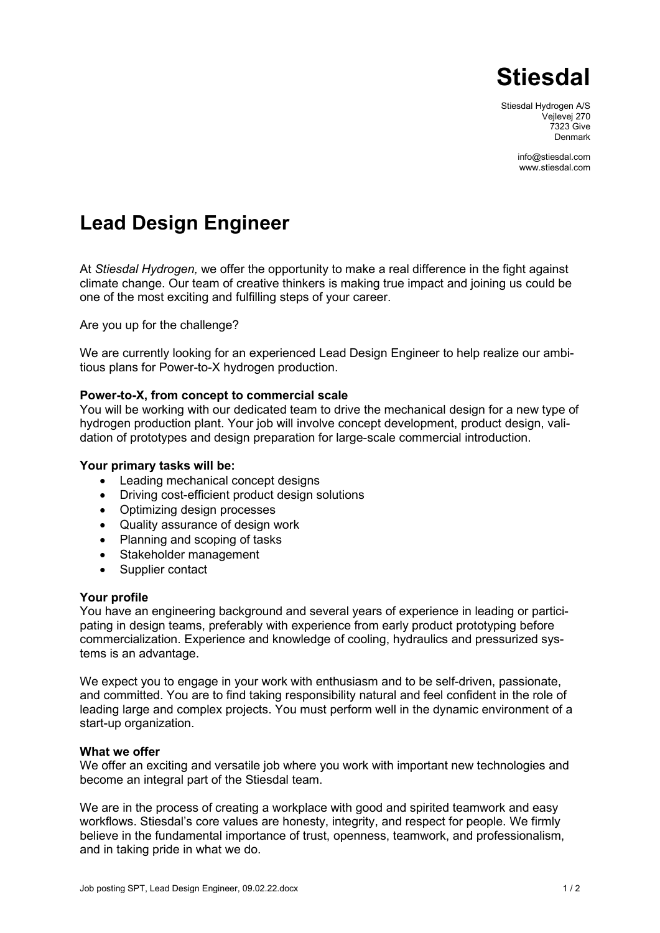

Stiesdal Hydrogen A/S Vejlevej 270 7323 Give Denmark

> [info@stiesdal.com](mailto:info@stiesdal.com) www.stiesdal.com

# **Lead Design Engineer**

At *Stiesdal Hydrogen,* we offer the opportunity to make a real difference in the fight against climate change. Our team of creative thinkers is making true impact and joining us could be one of the most exciting and fulfilling steps of your career.

Are you up for the challenge?

We are currently looking for an experienced Lead Design Engineer to help realize our ambitious plans for Power-to-X hydrogen production.

## **Power-to-X, from concept to commercial scale**

You will be working with our dedicated team to drive the mechanical design for a new type of hydrogen production plant. Your job will involve concept development, product design, validation of prototypes and design preparation for large-scale commercial introduction.

### **Your primary tasks will be:**

- Leading mechanical concept designs
- Driving cost-efficient product design solutions
- Optimizing design processes
- Quality assurance of design work
- Planning and scoping of tasks
- Stakeholder management
- Supplier contact

#### **Your profile**

You have an engineering background and several years of experience in leading or participating in design teams, preferably with experience from early product prototyping before commercialization. Experience and knowledge of cooling, hydraulics and pressurized systems is an advantage.

We expect you to engage in your work with enthusiasm and to be self-driven, passionate, and committed. You are to find taking responsibility natural and feel confident in the role of leading large and complex projects. You must perform well in the dynamic environment of a start-up organization.

#### **What we offer**

We offer an exciting and versatile job where you work with important new technologies and become an integral part of the Stiesdal team.

We are in the process of creating a workplace with good and spirited teamwork and easy workflows. Stiesdal's core values are honesty, integrity, and respect for people. We firmly believe in the fundamental importance of trust, openness, teamwork, and professionalism, and in taking pride in what we do.